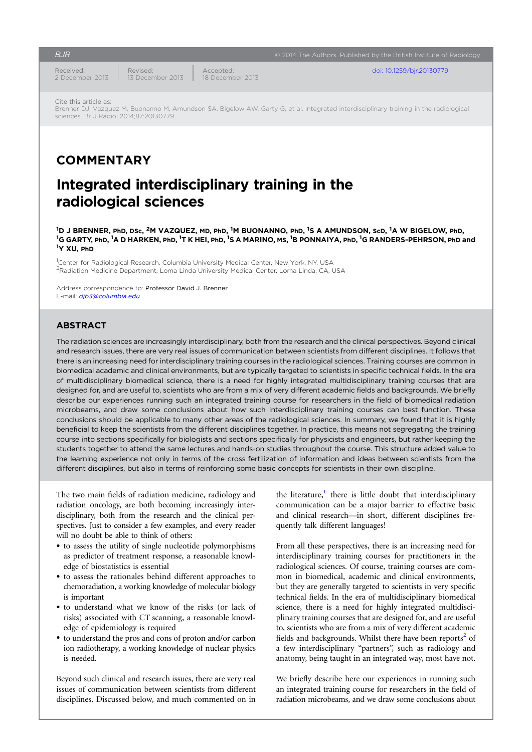Received: 2 December 2013 Revised: 13 December 2013 Accepted: 18 December 2013

**BJR EXALC** CONSIDERING BUILDING CONSIDERING CONSIDERING CONSIDERING CONSIDERING CONSIDERING CONSIDERING CONSIDERING CONSIDERING CONSIDERING CONSIDERING CONSIDERING CONSIDERING CONSIDERING CONSIDERING CONSIDERING CONSIDE

[doi: 10.1259/bjr.20130779](http://dx.doi.org/10.1259/bjr.20130779)

Cite this article as:

Brenner DJ, Vazquez M, Buonanno M, Amundson SA, Bigelow AW, Garty G, et al. Integrated interdisciplinary training in the radiological sciences. Br J Radiol 2014;87:20130779.

## **COMMENTARY**

# Integrated interdisciplinary training in the radiological sciences

 $^{\rm 1}$ D J BRENNER, PhD, DSc,  $^{\rm 2}$ M VAZQUEZ, MD, PhD,  $^{\rm 1}$ M BUONANNO, PhD,  $^{\rm 1}$ S A AMUNDSON, ScD,  $^{\rm 1}$ <sup>1</sup>D J BRENNER, PhD, DSc, <sup>2</sup>M VAZQUEZ, MD, PhD, <sup>1</sup>M BUONANNO, PhD, <sup>1</sup>S A AMUNDSON, ScD, <sup>1</sup>A W BIGELOW, PhD,<br><sup>1</sup>G GARTY, PhD, <sup>1</sup>A D HARKEN, PhD, <sup>1</sup>T K HEI, PhD, <sup>1</sup>S A MARINO, MS, <sup>1</sup>B PONNAIYA, PhD, <sup>1</sup>G RANDERS-PEHR Y XU, PhD

<sup>1</sup>Center for Radiological Research, Columbia University Medical Center, New York, NY, USA <sup>2</sup>Radiation Medicine Department, Loma Linda University Medical Center, Loma Linda, CA, USA

Address correspondence to: Professor David J. Brenner E-mail: [djb3@columbia.edu](mailto:djb3@columbia.edu)

## ABSTRACT

The radiation sciences are increasingly interdisciplinary, both from the research and the clinical perspectives. Beyond clinical and research issues, there are very real issues of communication between scientists from different disciplines. It follows that there is an increasing need for interdisciplinary training courses in the radiological sciences. Training courses are common in biomedical academic and clinical environments, but are typically targeted to scientists in specific technical fields. In the era of multidisciplinary biomedical science, there is a need for highly integrated multidisciplinary training courses that are designed for, and are useful to, scientists who are from a mix of very different academic fields and backgrounds. We briefly describe our experiences running such an integrated training course for researchers in the field of biomedical radiation microbeams, and draw some conclusions about how such interdisciplinary training courses can best function. These conclusions should be applicable to many other areas of the radiological sciences. In summary, we found that it is highly beneficial to keep the scientists from the different disciplines together. In practice, this means not segregating the training course into sections specifically for biologists and sections specifically for physicists and engineers, but rather keeping the students together to attend the same lectures and hands-on studies throughout the course. This structure added value to the learning experience not only in terms of the cross fertilization of information and ideas between scientists from the different disciplines, but also in terms of reinforcing some basic concepts for scientists in their own discipline.

The two main fields of radiation medicine, radiology and radiation oncology, are both becoming increasingly interdisciplinary, both from the research and the clinical perspectives. Just to consider a few examples, and every reader will no doubt be able to think of others:

- to assess the utility of single nucleotide polymorphisms as predictor of treatment response, a reasonable knowledge of biostatistics is essential
- to assess the rationales behind different approaches to chemoradiation, a working knowledge of molecular biology is important
- to understand what we know of the risks (or lack of risks) associated with CT scanning, a reasonable knowledge of epidemiology is required
- to understand the pros and cons of proton and/or carbon ion radiotherapy, a working knowledge of nuclear physics is needed.

Beyond such clinical and research issues, there are very real issues of communication between scientists from different disciplines. Discussed below, and much commented on in

the literature, $\frac{1}{1}$  $\frac{1}{1}$  $\frac{1}{1}$  there is little doubt that interdisciplinary communication can be a major barrier to effective basic and clinical research—in short, different disciplines frequently talk different languages!

From all these perspectives, there is an increasing need for interdisciplinary training courses for practitioners in the radiological sciences. Of course, training courses are common in biomedical, academic and clinical environments, but they are generally targeted to scientists in very specific technical fields. In the era of multidisciplinary biomedical science, there is a need for highly integrated multidisciplinary training courses that are designed for, and are useful to, scientists who are from a mix of very different academic fields and backgrounds. Whilst there have been reports $2$  of a few interdisciplinary "partners", such as radiology and anatomy, being taught in an integrated way, most have not.

We briefly describe here our experiences in running such an integrated training course for researchers in the field of radiation microbeams, and we draw some conclusions about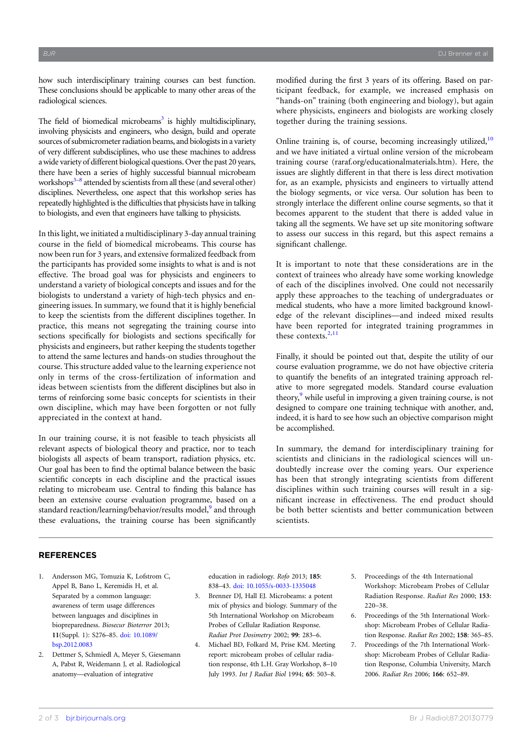<span id="page-1-0"></span>how such interdisciplinary training courses can best function. These conclusions should be applicable to many other areas of the radiological sciences.

The field of biomedical microbeams<sup>3</sup> is highly multidisciplinary, involving physicists and engineers, who design, build and operate sources of submicrometer radiation beams, and biologists in a variety of very different subdisciplines, who use these machines to address a wide variety of different biological questions. Over the past 20 years, there have been a series of highly successful biannual microbeam workshops $3-8$  $3-8$  attended by scientists from all these (and several other) disciplines. Nevertheless, one aspect that this workshop series has repeatedly highlighted is the difficulties that physicists have in talking to biologists, and even that engineers have talking to physicists.

In this light, we initiated a multidisciplinary 3-day annual training course in the field of biomedical microbeams. This course has now been run for 3 years, and extensive formalized feedback from the participants has provided some insights to what is and is not effective. The broad goal was for physicists and engineers to understand a variety of biological concepts and issues and for the biologists to understand a variety of high-tech physics and engineering issues. In summary, we found that it is highly beneficial to keep the scientists from the different disciplines together. In practice, this means not segregating the training course into sections specifically for biologists and sections specifically for physicists and engineers, but rather keeping the students together to attend the same lectures and hands-on studies throughout the course. This structure added value to the learning experience not only in terms of the cross-fertilization of information and ideas between scientists from the different disciplines but also in terms of reinforcing some basic concepts for scientists in their own discipline, which may have been forgotten or not fully appreciated in the context at hand.

In our training course, it is not feasible to teach physicists all relevant aspects of biological theory and practice, nor to teach biologists all aspects of beam transport, radiation physics, etc. Our goal has been to find the optimal balance between the basic scientific concepts in each discipline and the practical issues relating to microbeam use. Central to finding this balance has been an extensive course evaluation programme, based on a standard reaction/learning/behavior/results model,<sup>[9](#page-2-0)</sup> and through these evaluations, the training course has been significantly

modified during the first 3 years of its offering. Based on participant feedback, for example, we increased emphasis on "hands-on" training (both engineering and biology), but again where physicists, engineers and biologists are working closely together during the training sessions.

Online training is, of course, becoming increasingly utilized,<sup>[10](#page-2-0)</sup> and we have initiated a virtual online version of the microbeam training course (raraf.org/educationalmaterials.htm). Here, the issues are slightly different in that there is less direct motivation for, as an example, physicists and engineers to virtually attend the biology segments, or vice versa. Our solution has been to strongly interlace the different online course segments, so that it becomes apparent to the student that there is added value in taking all the segments. We have set up site monitoring software to assess our success in this regard, but this aspect remains a significant challenge.

It is important to note that these considerations are in the context of trainees who already have some working knowledge of each of the disciplines involved. One could not necessarily apply these approaches to the teaching of undergraduates or medical students, who have a more limited background knowledge of the relevant disciplines—and indeed mixed results have been reported for integrated training programmes in these contexts.<sup>2,[11](#page-2-0)</sup>

Finally, it should be pointed out that, despite the utility of our course evaluation programme, we do not have objective criteria to quantify the benefits of an integrated training approach relative to more segregated models. Standard course evaluation theory,<sup>[9](#page-2-0)</sup> while useful in improving a given training course, is not designed to compare one training technique with another, and, indeed, it is hard to see how such an objective comparison might be accomplished.

In summary, the demand for interdisciplinary training for scientists and clinicians in the radiological sciences will undoubtedly increase over the coming years. Our experience has been that strongly integrating scientists from different disciplines within such training courses will result in a significant increase in effectiveness. The end product should be both better scientists and better communication between scientists.

## **REFERENCES**

- 1. Andersson MG, Tomuzia K, Lofstrom C, Appel B, Bano L, Keremidis H, et al. Separated by a common language: awareness of term usage differences between languages and disciplines in biopreparedness. Biosecur Bioterror 2013; 11(Suppl. 1): S276–85. [doi: 10.1089/](http://dx.doi.org/10.1089/bsp.2012.0083) [bsp.2012.0083](http://dx.doi.org/10.1089/bsp.2012.0083)
- 2. Dettmer S, Schmiedl A, Meyer S, Giesemann A, Pabst R, Weidemann J, et al. Radiological anatomy—evaluation of integrative

education in radiology. Rofo 2013; 185: 838–43. [doi: 10.1055/s-0033-1335048](http://dx.doi.org/10.1055/s-0033-1335048)

- 3. Brenner DJ, Hall EJ. Microbeams: a potent mix of physics and biology. Summary of the 5th International Workshop on Microbeam Probes of Cellular Radiation Response. Radiat Prot Dosimetry 2002; 99: 283–6.
- 4. Michael BD, Folkard M, Prise KM. Meeting report: microbeam probes of cellular radiation response, 4th L.H. Gray Workshop, 8–10 July 1993. Int J Radiat Biol 1994; 65: 503–8.
- 5. Proceedings of the 4th International Workshop: Microbeam Probes of Cellular Radiation Response. Radiat Res 2000; 153: 220–38.
- 6. Proceedings of the 5th International Workshop: Microbeam Probes of Cellular Radiation Response. Radiat Res 2002; 158: 365–85.
- 7. Proceedings of the 7th International Workshop: Microbeam Probes of Cellular Radiation Response, Columbia University, March 2006. Radiat Res 2006; 166: 652–89.